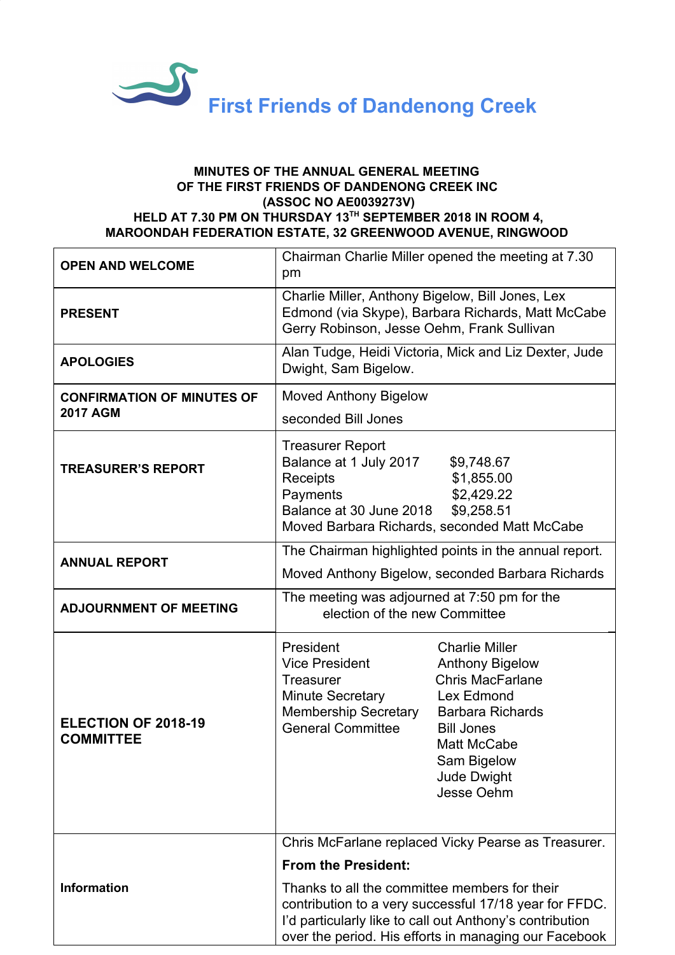

## **MINUTES OF THE ANNUAL GENERAL MEETING OF THE FIRST FRIENDS OF DANDENONG CREEK INC (ASSOC NO AE0039273V) HELD AT 7.30 PM ON THURSDAY 13 TH SEPTEMBER 2018 IN ROOM 4, MAROONDAH FEDERATION ESTATE, 32 GREENWOOD AVENUE, RINGWOOD**

| <b>OPEN AND WELCOME</b>                              | Chairman Charlie Miller opened the meeting at 7.30<br>pm                                                                                                                                                                                                                                                                                     |
|------------------------------------------------------|----------------------------------------------------------------------------------------------------------------------------------------------------------------------------------------------------------------------------------------------------------------------------------------------------------------------------------------------|
| <b>PRESENT</b>                                       | Charlie Miller, Anthony Bigelow, Bill Jones, Lex<br>Edmond (via Skype), Barbara Richards, Matt McCabe<br>Gerry Robinson, Jesse Oehm, Frank Sullivan                                                                                                                                                                                          |
| <b>APOLOGIES</b>                                     | Alan Tudge, Heidi Victoria, Mick and Liz Dexter, Jude<br>Dwight, Sam Bigelow.                                                                                                                                                                                                                                                                |
| <b>CONFIRMATION OF MINUTES OF</b><br><b>2017 AGM</b> | <b>Moved Anthony Bigelow</b><br>seconded Bill Jones                                                                                                                                                                                                                                                                                          |
| <b>TREASURER'S REPORT</b>                            | <b>Treasurer Report</b><br>Balance at 1 July 2017<br>\$9,748.67<br>Receipts<br>\$1,855.00<br>\$2,429.22<br>Payments<br>Balance at 30 June 2018<br>\$9,258.51<br>Moved Barbara Richards, seconded Matt McCabe                                                                                                                                 |
| <b>ANNUAL REPORT</b>                                 | The Chairman highlighted points in the annual report.<br>Moved Anthony Bigelow, seconded Barbara Richards                                                                                                                                                                                                                                    |
| <b>ADJOURNMENT OF MEETING</b>                        | The meeting was adjourned at 7:50 pm for the<br>election of the new Committee                                                                                                                                                                                                                                                                |
| ELECTION OF 2018-19<br><b>COMMITTEE</b>              | President<br><b>Charlie Miller</b><br><b>Anthony Bigelow</b><br><b>Vice President</b><br><b>Chris MacFarlane</b><br><b>Treasurer</b><br>Minute Secretary<br>Lex Edmond<br><b>Membership Secretary</b><br><b>Barbara Richards</b><br><b>General Committee</b><br><b>Bill Jones</b><br>Matt McCabe<br>Sam Bigelow<br>Jude Dwight<br>Jesse Oehm |
|                                                      | Chris McFarlane replaced Vicky Pearse as Treasurer.                                                                                                                                                                                                                                                                                          |
| <b>Information</b>                                   | <b>From the President:</b>                                                                                                                                                                                                                                                                                                                   |
|                                                      | Thanks to all the committee members for their<br>contribution to a very successful 17/18 year for FFDC.<br>I'd particularly like to call out Anthony's contribution<br>over the period. His efforts in managing our Facebook                                                                                                                 |